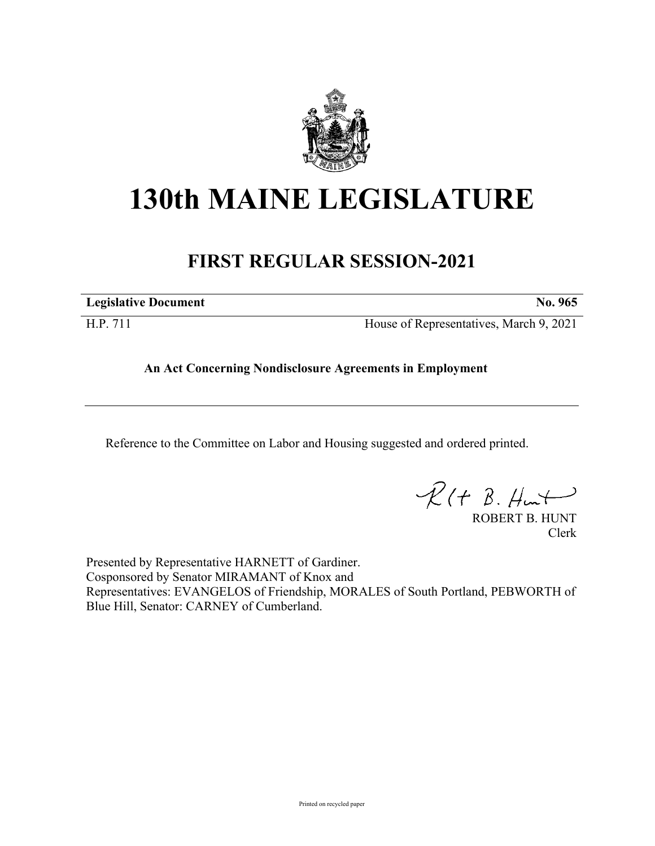

## **130th MAINE LEGISLATURE**

## **FIRST REGULAR SESSION-2021**

**Legislative Document No. 965**

H.P. 711 House of Representatives, March 9, 2021

## **An Act Concerning Nondisclosure Agreements in Employment**

Reference to the Committee on Labor and Housing suggested and ordered printed.

 $R(H B. H<sub>un</sub>+)$ 

ROBERT B. HUNT Clerk

Presented by Representative HARNETT of Gardiner. Cosponsored by Senator MIRAMANT of Knox and Representatives: EVANGELOS of Friendship, MORALES of South Portland, PEBWORTH of Blue Hill, Senator: CARNEY of Cumberland.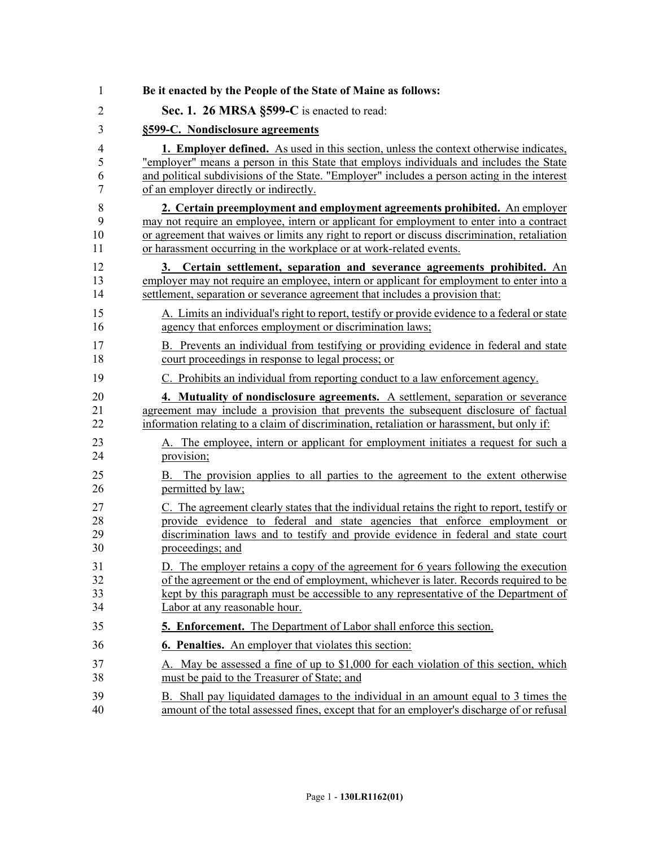| 1              | Be it enacted by the People of the State of Maine as follows:                                 |
|----------------|-----------------------------------------------------------------------------------------------|
| $\overline{2}$ | Sec. 1. 26 MRSA §599-C is enacted to read:                                                    |
| 3              | §599-C. Nondisclosure agreements                                                              |
| $\overline{4}$ | <b>1. Employer defined.</b> As used in this section, unless the context otherwise indicates,  |
| 5              | "employer" means a person in this State that employs individuals and includes the State       |
| 6              | and political subdivisions of the State. "Employer" includes a person acting in the interest  |
| 7              | of an employer directly or indirectly.                                                        |
| 8              | 2. Certain preemployment and employment agreements prohibited. An employer                    |
| 9              | may not require an employee, intern or applicant for employment to enter into a contract      |
| 10             | or agreement that waives or limits any right to report or discuss discrimination, retaliation |
| 11             | or harassment occurring in the workplace or at work-related events.                           |
| 12             | 3. Certain settlement, separation and severance agreements prohibited. An                     |
| 13             | employer may not require an employee, intern or applicant for employment to enter into a      |
| 14             | settlement, separation or severance agreement that includes a provision that:                 |
| 15             | A. Limits an individual's right to report, testify or provide evidence to a federal or state  |
| 16             | agency that enforces employment or discrimination laws;                                       |
| 17             | B. Prevents an individual from testifying or providing evidence in federal and state          |
| 18             | court proceedings in response to legal process; or                                            |
| 19             | C. Prohibits an individual from reporting conduct to a law enforcement agency.                |
| 20             | 4. Mutuality of nondisclosure agreements. A settlement, separation or severance               |
| 21             | agreement may include a provision that prevents the subsequent disclosure of factual          |
| 22             | information relating to a claim of discrimination, retaliation or harassment, but only if:    |
| 23             | A. The employee, intern or applicant for employment initiates a request for such a            |
| 24             | provision;                                                                                    |
| 25             | B. The provision applies to all parties to the agreement to the extent otherwise              |
| 26             | permitted by law;                                                                             |
| 27             | C. The agreement clearly states that the individual retains the right to report, testify or   |
| 28             | provide evidence to federal and state agencies that enforce employment or                     |
| 29             | discrimination laws and to testify and provide evidence in federal and state court            |
| 30             | proceedings; and                                                                              |
| 31             | D. The employer retains a copy of the agreement for 6 years following the execution           |
| 32             | of the agreement or the end of employment, whichever is later. Records required to be         |
| 33             | kept by this paragraph must be accessible to any representative of the Department of          |
| 34             | Labor at any reasonable hour.                                                                 |
| 35             | <b>5. Enforcement.</b> The Department of Labor shall enforce this section.                    |
| 36             | <b>6. Penalties.</b> An employer that violates this section:                                  |
| 37             | A. May be assessed a fine of up to \$1,000 for each violation of this section, which          |
| 38             | must be paid to the Treasurer of State; and                                                   |
| 39             | B. Shall pay liquidated damages to the individual in an amount equal to 3 times the           |
| 40             | amount of the total assessed fines, except that for an employer's discharge of or refusal     |